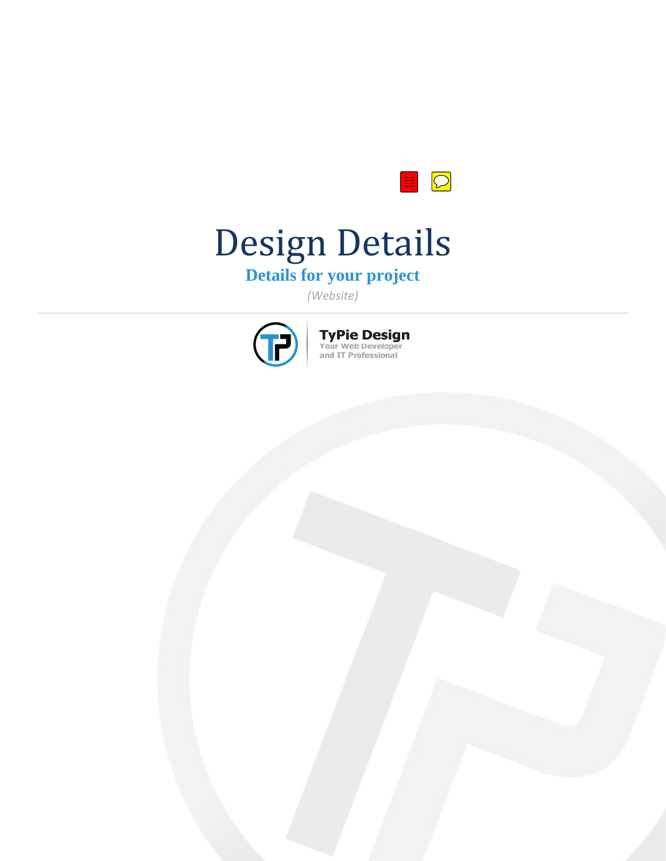

# Design Details

# **Details for your project**

*(Website)*



**TyPie Design**<br>Your Web Developer<br>and IT Professional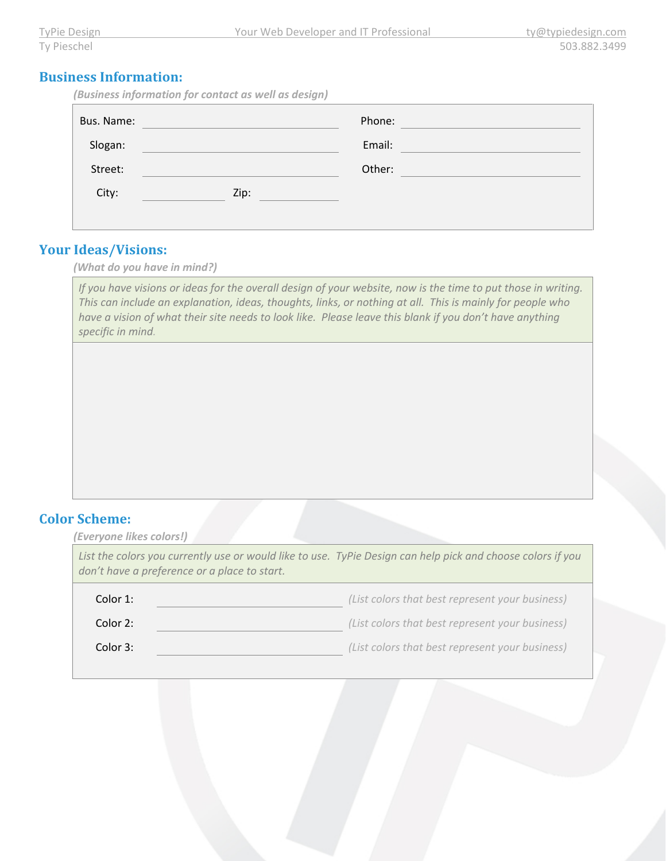#### **Business Information:**

*(Business information for contact as well as design)*

| Bus. Name: |      | Phone: |  |
|------------|------|--------|--|
| Slogan:    |      | Email: |  |
| Street:    |      | Other: |  |
| City:      | Zip: |        |  |
|            |      |        |  |

# **Your Ideas/Visions:**

*(What do you have in mind?)*

*If you have visions or ideas for the overall design of your website, now is the time to put those in writing. This can include an explanation, ideas, thoughts, links, or nothing at all. This is mainly for people who have a vision of what their site needs to look like. Please leave this blank if you don't have anything specific in mind.* 

#### **Color Scheme:**

| (Everyone likes colors!)                                                                                                                                    |  |  |  |  |
|-------------------------------------------------------------------------------------------------------------------------------------------------------------|--|--|--|--|
| List the colors you currently use or would like to use. TyPie Design can help pick and choose colors if you<br>don't have a preference or a place to start. |  |  |  |  |
| (List colors that best represent your business)                                                                                                             |  |  |  |  |
| (List colors that best represent your business)                                                                                                             |  |  |  |  |
| (List colors that best represent your business)                                                                                                             |  |  |  |  |
|                                                                                                                                                             |  |  |  |  |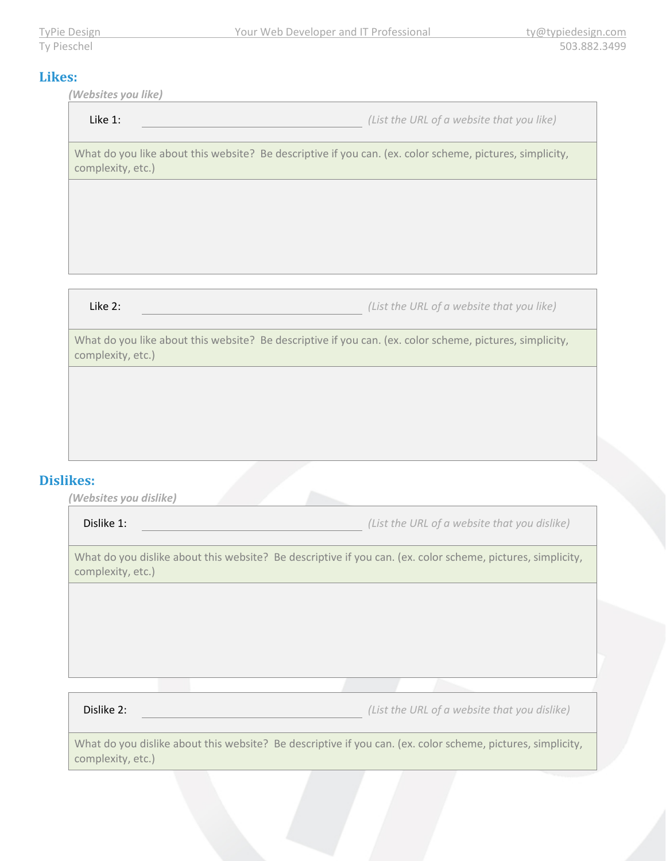#### **Likes:**

*(Websites you like)*

| Like 1: |  |  |
|---------|--|--|
|---------|--|--|

Like 1: *(List the URL of a website that you like)*

What do you like about this website? Be descriptive if you can. (ex. color scheme, pictures, simplicity, complexity, etc.)

Like 2: *(List the URL of a website that you like)*

What do you like about this website? Be descriptive if you can. (ex. color scheme, pictures, simplicity, complexity, etc.)

## **Dislikes:**

*(Websites you dislike)*

Dislike 1: *(List the URL of a website that you dislike)*

What do you dislike about this website? Be descriptive if you can. (ex. color scheme, pictures, simplicity, complexity, etc.)

Dislike 2: *(List the URL of a website that you dislike)*

What do you dislike about this website? Be descriptive if you can. (ex. color scheme, pictures, simplicity, complexity, etc.)